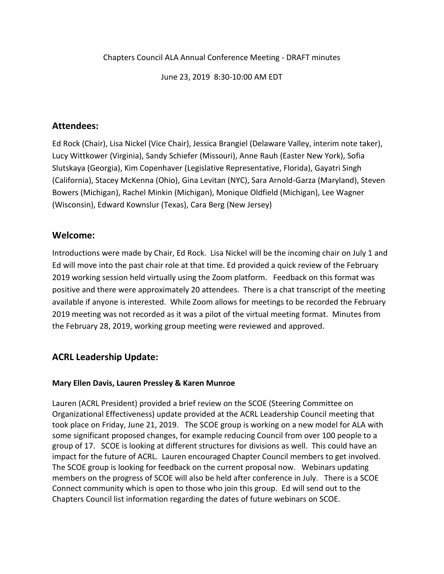Chapters Council ALA Annual Conference Meeting - DRAFT minutes

June 23, 2019 8:30-10:00 AM EDT

### **Attendees:**

Ed Rock (Chair), Lisa Nickel (Vice Chair), Jessica Brangiel (Delaware Valley, interim note taker), Lucy Wittkower (Virginia), Sandy Schiefer (Missouri), Anne Rauh (Easter New York), Sofia Slutskaya (Georgia), Kim Copenhaver (Legislative Representative, Florida), Gayatri Singh (California), Stacey McKenna (Ohio), Gina Levitan (NYC), Sara Arnold-Garza (Maryland), Steven Bowers (Michigan), Rachel Minkin (Michigan), Monique Oldfield (Michigan), Lee Wagner (Wisconsin), Edward Kownslur (Texas), Cara Berg (New Jersey)

### **Welcome:**

Introductions were made by Chair, Ed Rock. Lisa Nickel will be the incoming chair on July 1 and Ed will move into the past chair role at that time. Ed provided a quick review of the February 2019 working session held virtually using the Zoom platform. Feedback on this format was positive and there were approximately 20 attendees. There is a chat transcript of the meeting available if anyone is interested. While Zoom allows for meetings to be recorded the February 2019 meeting was not recorded as it was a pilot of the virtual meeting format. Minutes from the February 28, 2019, working group meeting were reviewed and approved.

## **ACRL Leadership Update:**

#### **Mary Ellen Davis, Lauren Pressley & Karen Munroe**

Lauren (ACRL President) provided a brief review on the SCOE (Steering Committee on Organizational Effectiveness) update provided at the ACRL Leadership Council meeting that took place on Friday, June 21, 2019. The SCOE group is working on a new model for ALA with some significant proposed changes, for example reducing Council from over 100 people to a group of 17. SCOE is looking at different structures for divisions as well. This could have an impact for the future of ACRL. Lauren encouraged Chapter Council members to get involved. The SCOE group is looking for feedback on the current proposal now. Webinars updating members on the progress of SCOE will also be held after conference in July. There is a SCOE Connect community which is open to those who join this group. Ed will send out to the Chapters Council list information regarding the dates of future webinars on SCOE.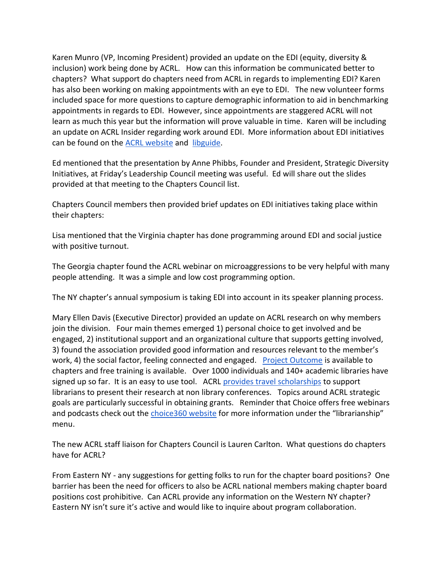Karen Munro (VP, Incoming President) provided an update on the EDI (equity, diversity & inclusion) work being done by ACRL. How can this information be communicated better to chapters? What support do chapters need from ACRL in regards to implementing EDI? Karen has also been working on making appointments with an eye to EDI. The new volunteer forms included space for more questions to capture demographic information to aid in benchmarking appointments in regards to EDI. However, since appointments are staggered ACRL will not learn as much this year but the information will prove valuable in time. Karen will be including an update on ACRL Insider regarding work around EDI. More information about EDI initiatives can be found on the [ACRL website](http://www.ala.org/acrl/aboutacrl/directoryofleadership/committees/racialethnic) and [libguide.](http://acrl.libguides.com/EDI/ALAConferences)

Ed mentioned that the presentation by Anne Phibbs, Founder and President, Strategic Diversity Initiatives, at Friday's Leadership Council meeting was useful. Ed will share out the slides provided at that meeting to the Chapters Council list.

Chapters Council members then provided brief updates on EDI initiatives taking place within their chapters:

Lisa mentioned that the Virginia chapter has done programming around EDI and social justice with positive turnout.

The Georgia chapter found the ACRL webinar on microaggressions to be very helpful with many people attending. It was a simple and low cost programming option.

The NY chapter's annual symposium is taking EDI into account in its speaker planning process.

Mary Ellen Davis (Executive Director) provided an update on ACRL research on why members join the division. Four main themes emerged 1) personal choice to get involved and be engaged, 2) institutional support and an organizational culture that supports getting involved, 3) found the association provided good information and resources relevant to the member's work, 4) the social factor, feeling connected and engaged. [Project Outcome](https://acrl.projectoutcome.org/) is available to chapters and free training is available. Over 1000 individuals and 140+ academic libraries have signed up so far. It is an easy to use tool. ACRL [provides travel scholarships](http://www.ala.org/acrl/awards/researchawards/valtravel) to support librarians to present their research at non library conferences. Topics around ACRL strategic goals are particularly successful in obtaining grants. Reminder that Choice offers free webinars and podcasts check out the [choice360 website](http://www.choice360.org/librarianship) for more information under the "librarianship" menu.

The new ACRL staff liaison for Chapters Council is Lauren Carlton. What questions do chapters have for ACRL?

From Eastern NY - any suggestions for getting folks to run for the chapter board positions? One barrier has been the need for officers to also be ACRL national members making chapter board positions cost prohibitive. Can ACRL provide any information on the Western NY chapter? Eastern NY isn't sure it's active and would like to inquire about program collaboration.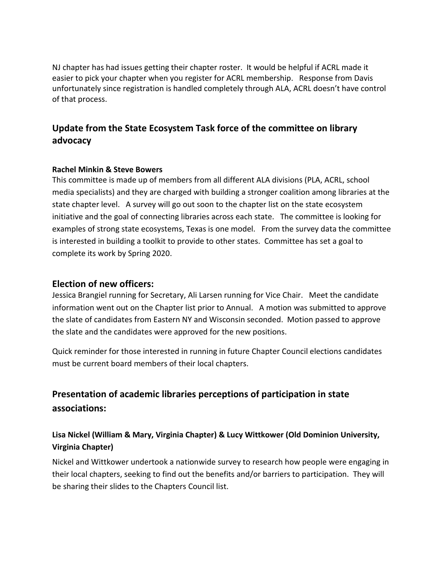NJ chapter has had issues getting their chapter roster. It would be helpful if ACRL made it easier to pick your chapter when you register for ACRL membership. Response from Davis unfortunately since registration is handled completely through ALA, ACRL doesn't have control of that process.

# **Update from the State Ecosystem Task force of the committee on library advocacy**

#### **Rachel Minkin & Steve Bowers**

This committee is made up of members from all different ALA divisions (PLA, ACRL, school media specialists) and they are charged with building a stronger coalition among libraries at the state chapter level. A survey will go out soon to the chapter list on the state ecosystem initiative and the goal of connecting libraries across each state. The committee is looking for examples of strong state ecosystems, Texas is one model. From the survey data the committee is interested in building a toolkit to provide to other states. Committee has set a goal to complete its work by Spring 2020.

#### **Election of new officers:**

Jessica Brangiel running for Secretary, Ali Larsen running for Vice Chair. Meet the candidate information went out on the Chapter list prior to Annual. A motion was submitted to approve the slate of candidates from Eastern NY and Wisconsin seconded. Motion passed to approve the slate and the candidates were approved for the new positions.

Quick reminder for those interested in running in future Chapter Council elections candidates must be current board members of their local chapters.

# **Presentation of academic libraries perceptions of participation in state associations:**

### **Lisa Nickel (William & Mary, Virginia Chapter) & Lucy Wittkower (Old Dominion University, Virginia Chapter)**

Nickel and Wittkower undertook a nationwide survey to research how people were engaging in their local chapters, seeking to find out the benefits and/or barriers to participation. They will be sharing their slides to the Chapters Council list.